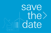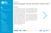Physikalisch-Technische Bundesanstalt Nationales Metrologieinstitut



**Date** 6 December 2017, 13.00 –21.00 7 December 2017, 9.00–13.00

# $\bigotimes$

Location

Physikalisch-Technische Bundesanstalt Kohlrausch Building Main Lecture Hall Bundesallee 100 38116 Braunschweig



### **Contact**

Vincenza Kramer +49 531 592 2012 emwt@ptb.de

Dr. Thorsten Schrader +49 531 592 2200 thorsten.schrader@ptb.de

Dr. Marius Mihalachi +49 531 592 2216 marius.mihalachi@ptb.de

Dr. Thomas Kleine-Ostmann +49 531 592 2210 thomas.kleine-ostmann@ptb.de

# Workshop Electromagnetic Waves and Wind Turbines 2017

### Background

**OBJEET** 

Due to the withdrawal from the nuclear energy programme and the concurrent need to reduce fossile combustibles and carbon dioxide emissions, many sources of renewable energy have to be installed. Among these are water and solar energy power plants, but to a large extend also wind turbine (WT) installations. In the end of 2016 as many as 27.270 wind turbines with a power of 45.900 MW had been installed in Germany (source: WindGuard GmbH). For efficiency reasons, WT become taller and taller and now reach that airspace, in which RADAR and terrestrial navigation systems operate. For safe operation of air traffic control, air space surveillance, weather forecast and terrestrial navigation, the degree of influence of WT on the mentioned radio frequency (RF) services must be known.

Therefore, electromagnetic wave propagation and signal distortion is of increasing interest, and the grade of interference of WT on radio services is subject of research and development both in numerical simulations and measurements.

This PTB workshop will bring together experts from academia, researchers and science groups, but also officials, government, and politics. Latest results from science will be presented. The workshop will give all interested groups the opportunity for open discussions. Also members of the IEEE German EMC chapter are welcome.